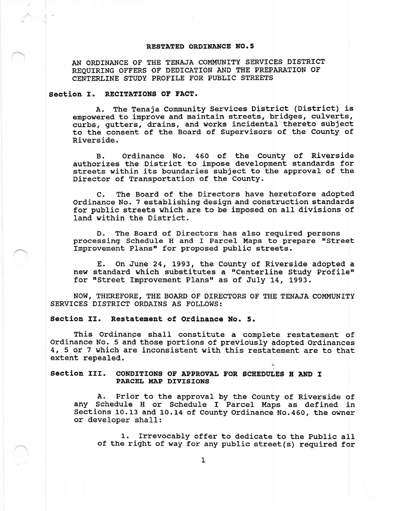## RESTATED ORDINANCE NO.5

AN ORDINANCE OF THE TENAJA COMMUNITY SERVICES DISTRICT REQUIRING OFFERS OF DEDICATION AND THE PREPARATION OF CENTERLINE STUDY PROFILE FOR PUBLIC STREETS

## Section I. RECITATIONS OF FACT.

A. The Tenaja Connunity Services District (District) is empowered to improve and naintain streets, bridges, culverts, curbs, gutters, drains, and works incidental thereto subject to the consent of the Board of Supervisors of the County of Riverside.

B. Ordinance No. 460 of the County of Riverside authorizes the District to impose development standards for streets within its boundaries subject to the approval of the Director of Transportation of the County.

C. The Board of the Directors have heretofore adopted ordinance No. 7 establishing design and. construction standards for public streets which are to be inposed on aII divisions of land within the District.

D. The Board of Directors has also required persons processing Schedule H and I Parcel Maps to prepare "Street Improvement Plans" for proposed public streets.

E. On June 24, 1993, the County of Riverside adopted <sup>a</sup> new standard which substitutes a "Centerline Study Profile" for "Street Improvement Plans" as of July 14, 1993.

NOW, THEREFORE, THE BOARD OF DTRECTORS OF THE TENAJA COMMUNITY SERVICES DISTRICT ORDAINS AS FOLLOWS:

Section II. Restatement of Ordinance No. 5.

This Ordinange shall constitute a complete restatement of Ordinance No. 5 and those portions of previously adopted Ordinances 4, 5 or 7 which are inconsistent with this restatement are to that extent repealed

## Section III. CONDITIONS OF APPROVAL FOR SCHEDULES H AND I PARCEL MAP DIVISIONS

A. Prior to the approval by the County of Riverside of any Schedule H or Schedule I Parcel Maps as defined in Sections 10.13 and 10.14 of County Ordinance No.460, the owner or developer shaIl:

1. Irrevocably offer to dedicate to the public all of the right of way for any public street(s) required for

k: